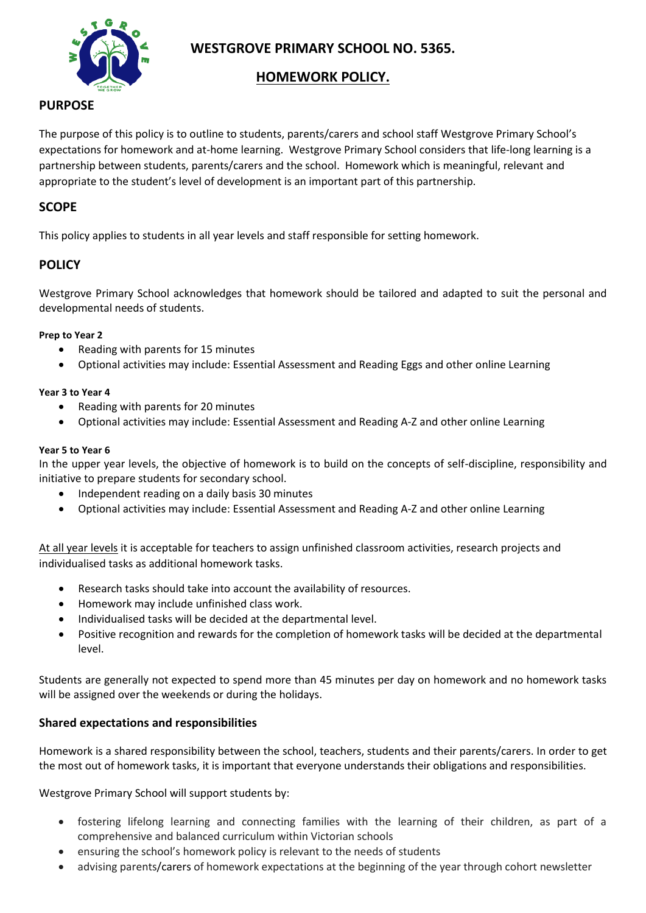

**WESTGROVE PRIMARY SCHOOL NO. 5365.**

## **HOMEWORK POLICY.**

# **PURPOSE**

The purpose of this policy is to outline to students, parents/carers and school staff Westgrove Primary School's expectations for homework and at-home learning. Westgrove Primary School considers that life-long learning is a partnership between students, parents/carers and the school. Homework which is meaningful, relevant and appropriate to the student's level of development is an important part of this partnership.

## **SCOPE**

This policy applies to students in all year levels and staff responsible for setting homework.

### **POLICY**

Westgrove Primary School acknowledges that homework should be tailored and adapted to suit the personal and developmental needs of students.

#### **Prep to Year 2**

- Reading with parents for 15 minutes
- Optional activities may include: Essential Assessment and Reading Eggs and other online Learning

#### **Year 3 to Year 4**

- Reading with parents for 20 minutes
- Optional activities may include: Essential Assessment and Reading A-Z and other online Learning

#### **Year 5 to Year 6**

In the upper year levels, the objective of homework is to build on the concepts of self-discipline, responsibility and initiative to prepare students for secondary school.

- Independent reading on a daily basis 30 minutes
- Optional activities may include: Essential Assessment and Reading A-Z and other online Learning

At all year levels it is acceptable for teachers to assign unfinished classroom activities, research projects and individualised tasks as additional homework tasks.

- Research tasks should take into account the availability of resources.
- Homework may include unfinished class work.
- Individualised tasks will be decided at the departmental level.
- Positive recognition and rewards for the completion of homework tasks will be decided at the departmental level.

Students are generally not expected to spend more than 45 minutes per day on homework and no homework tasks will be assigned over the weekends or during the holidays.

### **Shared expectations and responsibilities**

Homework is a shared responsibility between the school, teachers, students and their parents/carers. In order to get the most out of homework tasks, it is important that everyone understands their obligations and responsibilities.

Westgrove Primary School will support students by:

- fostering lifelong learning and connecting families with the learning of their children, as part of a comprehensive and balanced curriculum within Victorian schools
- ensuring the school's homework policy is relevant to the needs of students
- advising parents/carers of homework expectations at the beginning of the year through cohort newsletter